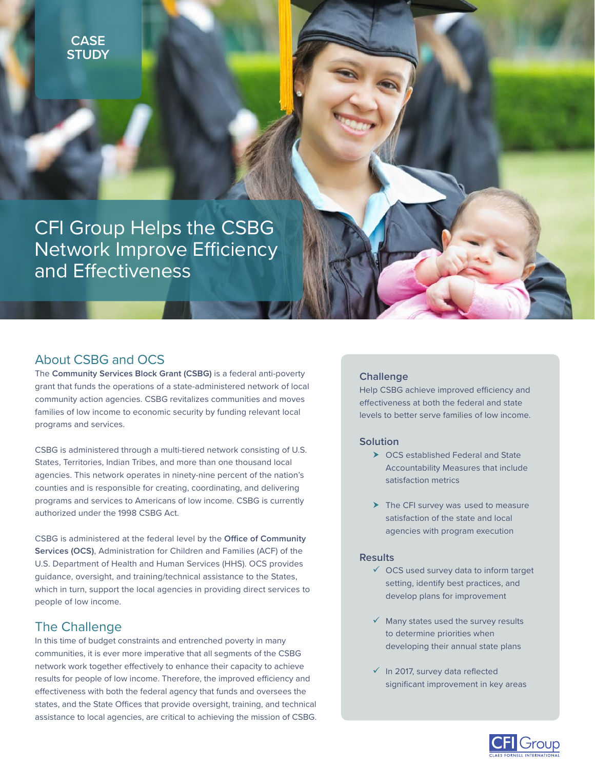

CFI Group Helps the CSBG Network Improve Efficiency and Effectiveness

# About CSBG and OCS

The **Community Services Block Grant (CSBG)** is a federal anti-poverty grant that funds the operations of a state-administered network of local community action agencies. CSBG revitalizes communities and moves families of low income to economic security by funding relevant local programs and services.

CSBG is administered through a multi-tiered network consisting of U.S. States, Territories, Indian Tribes, and more than one thousand local agencies. This network operates in ninety-nine percent of the nation's counties and is responsible for creating, coordinating, and delivering programs and services to Americans of low income. CSBG is currently authorized under the 1998 CSBG Act.

CSBG is administered at the federal level by the **Office of Community Services (OCS)**, Administration for Children and Families (ACF) of the U.S. Department of Health and Human Services (HHS). OCS provides guidance, oversight, and training/technical assistance to the States, which in turn, support the local agencies in providing direct services to people of low income.

## The Challenge

In this time of budget constraints and entrenched poverty in many communities, it is ever more imperative that all segments of the CSBG network work together effectively to enhance their capacity to achieve results for people of low income. Therefore, the improved efficiency and effectiveness with both the federal agency that funds and oversees the states, and the State Offices that provide oversight, training, and technical assistance to local agencies, are critical to achieving the mission of CSBG.

### **Challenge**

Help CSBG achieve improved efficiency and effectiveness at both the federal and state levels to better serve families of low income.

## **Solution**

- $\triangleright$  OCS established Federal and State Accountability Measures that include satisfaction metrics
- $\blacktriangleright$  The CFI survey was used to measure satisfaction of the state and local agencies with program execution

#### **Results**

- $\checkmark$  OCS used survey data to inform target setting, identify best practices, and develop plans for improvement
- $\checkmark$  Many states used the survey results to determine priorities when developing their annual state plans
- $\checkmark$  In 2017, survey data reflected significant improvement in key areas

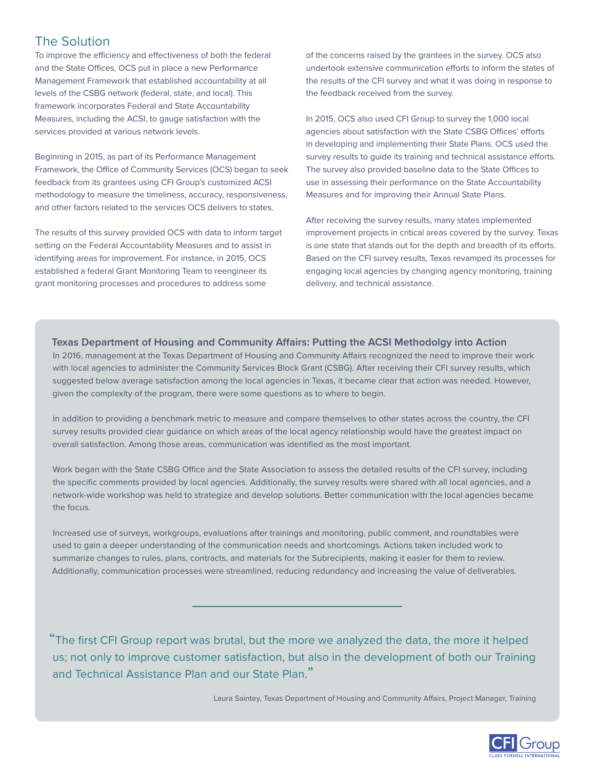# The Solution

To improve the efficiency and effectiveness of both the federal and the State Offices, OCS put in place a new Performance Management Framework that established accountability at all levels of the CSBG network (federal, state, and local). This framework incorporates Federal and State Accountability Measures, including the ACSI, to gauge satisfaction with the services provided at various network levels.

Beginning in 2015, as part of its Performance Management Framework, the Office of Community Services (OCS) began to seek feedback from its grantees using CFI Group's customized ACSI methodology to measure the timeliness, accuracy, responsiveness, and other factors related to the services OCS delivers to states.

The results of this survey provided OCS with data to inform target setting on the Federal Accountability Measures and to assist in identifying areas for improvement. For instance, in 2015, OCS established a federal Grant Monitoring Team to reengineer its grant monitoring processes and procedures to address some

of the concerns raised by the grantees in the survey. OCS also undertook extensive communication efforts to inform the states of the results of the CFI survey and what it was doing in response to the feedback received from the survey.

In 2015, OCS also used CFI Group to survey the 1,000 local agencies about satisfaction with the State CSBG Offices' efforts in developing and implementing their State Plans. OCS used the survey results to guide its training and technical assistance efforts. The survey also provided baseline data to the State Offices to use in assessing their performance on the State Accountability Measures and for improving their Annual State Plans.

After receiving the survey results, many states implemented improvement projects in critical areas covered by the survey. Texas is one state that stands out for the depth and breadth of its efforts. Based on the CFI survey results, Texas revamped its processes for engaging local agencies by changing agency monitoring, training delivery, and technical assistance.

## **Texas Department of Housing and Community Affairs: Putting the ACSI Methodolgy into Action**

In 2016, management at the Texas Department of Housing and Community Affairs recognized the need to improve their work with local agencies to administer the Community Services Block Grant (CSBG). After receiving their CFI survey results, which suggested below average satisfaction among the local agencies in Texas, it became clear that action was needed. However, given the complexity of the program, there were some questions as to where to begin.

In addition to providing a benchmark metric to measure and compare themselves to other states across the country, the CFI survey results provided clear guidance on which areas of the local agency relationship would have the greatest impact on overall satisfaction. Among those areas, communication was identified as the most important.

Work began with the State CSBG Office and the State Association to assess the detailed results of the CFI survey, including the specific comments provided by local agencies. Additionally, the survey results were shared with all local agencies, and a network-wide workshop was held to strategize and develop solutions. Better communication with the local agencies became the focus.

Increased use of surveys, workgroups, evaluations after trainings and monitoring, public comment, and roundtables were used to gain a deeper understanding of the communication needs and shortcomings. Actions taken included work to summarize changes to rules, plans, contracts, and materials for the Subrecipients, making it easier for them to review. Additionally, communication processes were streamlined, reducing redundancy and increasing the value of deliverables.

"The first CFI Group report was brutal, but the more we analyzed the data, the more it helped us; not only to improve customer satisfaction, but also in the development of both our Training and Technical Assistance Plan and our State Plan."

Laura Saintey, Texas Department of Housing and Community Affairs, Project Manager, Training